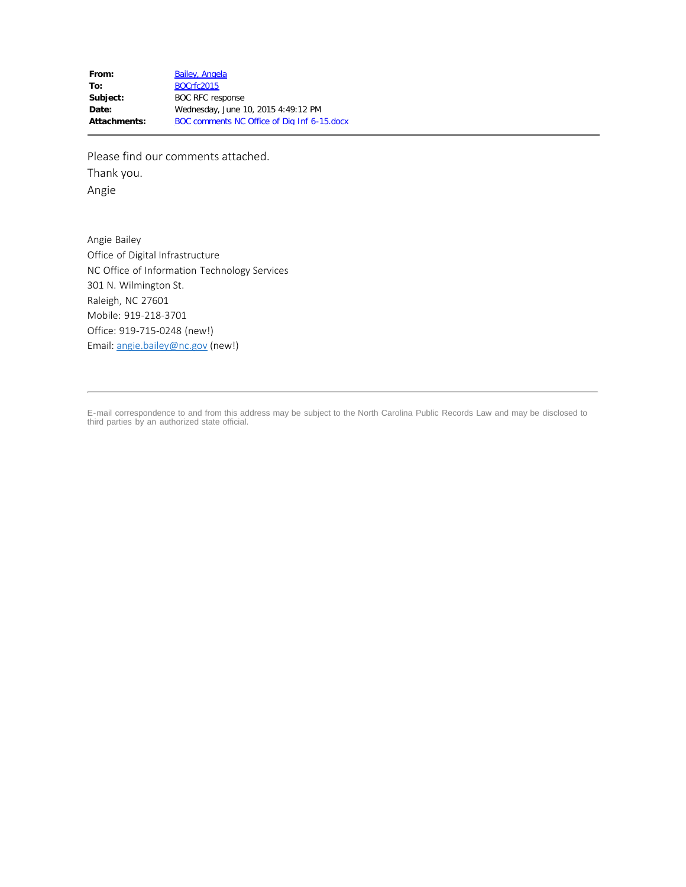Please find our comments attached. Thank you. Angie

Angie Bailey Office of Digital Infrastructure NC Office of Information Technology Services 301 N. Wilmington St. Raleigh, NC 27601 Mobile: 919-218-3701 Office: 919-715-0248 (new!) Email: [angie.bailey@nc.gov](mailto:angie.bailey@nc.gov) (new!)

E-mail correspondence to and from this address may be subject to the North Carolina Public Records Law and may be disclosed to third parties by an authorized state official.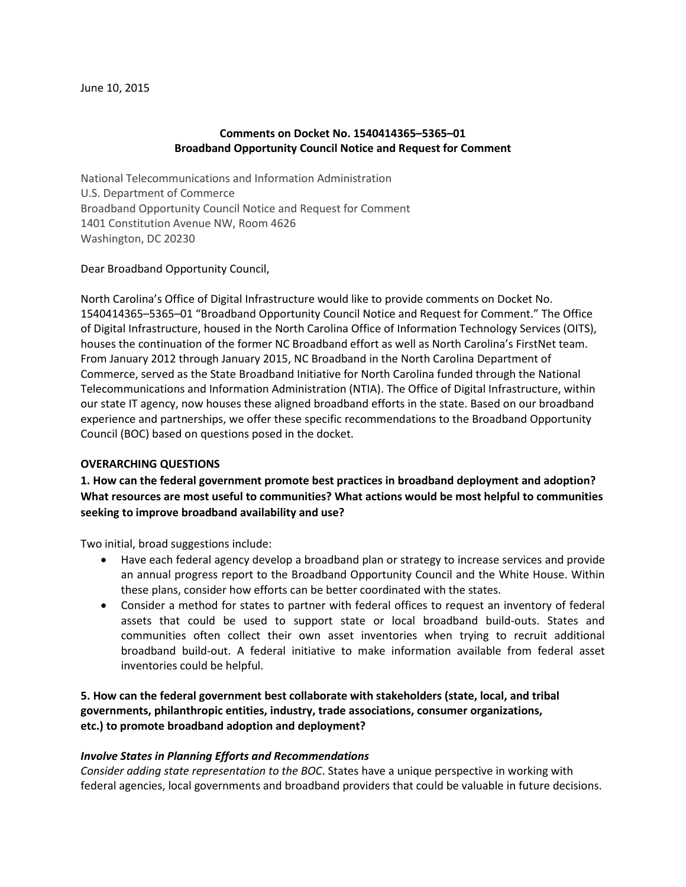#### **Comments on Docket No. 1540414365–5365–01 Broadband Opportunity Council Notice and Request for Comment**

National Telecommunications and Information Administration U.S. Department of Commerce Broadband Opportunity Council Notice and Request for Comment 1401 Constitution Avenue NW, Room 4626 Washington, DC 20230

#### Dear Broadband Opportunity Council,

North Carolina's Office of Digital Infrastructure would like to provide comments on Docket No. 1540414365–5365–01 "Broadband Opportunity Council Notice and Request for Comment." The Office of Digital Infrastructure, housed in the North Carolina Office of Information Technology Services (OITS), houses the continuation of the former NC Broadband effort as well as North Carolina's FirstNet team. From January 2012 through January 2015, NC Broadband in the North Carolina Department of Commerce, served as the State Broadband Initiative for North Carolina funded through the National Telecommunications and Information Administration (NTIA). The Office of Digital Infrastructure, within our state IT agency, now houses these aligned broadband efforts in the state. Based on our broadband experience and partnerships, we offer these specific recommendations to the Broadband Opportunity Council (BOC) based on questions posed in the docket.

#### **OVERARCHING QUESTIONS**

**1. How can the federal government promote best practices in broadband deployment and adoption? What resources are most useful to communities? What actions would be most helpful to communities seeking to improve broadband availability and use?**

Two initial, broad suggestions include:

- Have each federal agency develop a broadband plan or strategy to increase services and provide an annual progress report to the Broadband Opportunity Council and the White House. Within these plans, consider how efforts can be better coordinated with the states.
- Consider a method for states to partner with federal offices to request an inventory of federal assets that could be used to support state or local broadband build-outs. States and communities often collect their own asset inventories when trying to recruit additional broadband build-out. A federal initiative to make information available from federal asset inventories could be helpful.

**5. How can the federal government best collaborate with stakeholders (state, local, and tribal governments, philanthropic entities, industry, trade associations, consumer organizations, etc.) to promote broadband adoption and deployment?**

#### *Involve States in Planning Efforts and Recommendations*

*Consider adding state representation to the BOC*. States have a unique perspective in working with federal agencies, local governments and broadband providers that could be valuable in future decisions.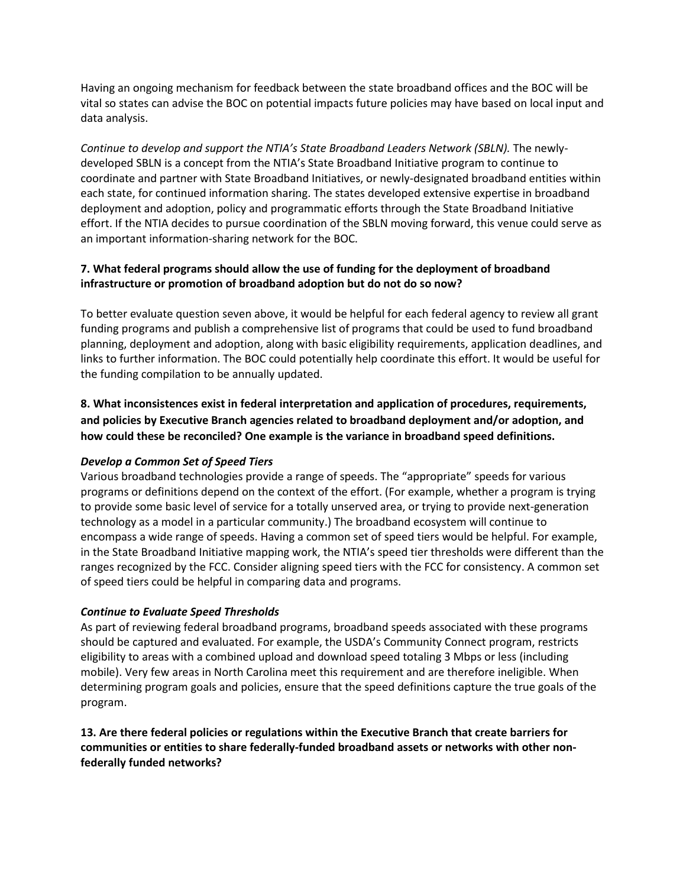Having an ongoing mechanism for feedback between the state broadband offices and the BOC will be vital so states can advise the BOC on potential impacts future policies may have based on local input and data analysis.

*Continue to develop and support the NTIA's State Broadband Leaders Network (SBLN).* The newlydeveloped SBLN is a concept from the NTIA's State Broadband Initiative program to continue to coordinate and partner with State Broadband Initiatives, or newly-designated broadband entities within each state, for continued information sharing. The states developed extensive expertise in broadband deployment and adoption, policy and programmatic efforts through the State Broadband Initiative effort. If the NTIA decides to pursue coordination of the SBLN moving forward, this venue could serve as an important information-sharing network for the BOC.

# **7. What federal programs should allow the use of funding for the deployment of broadband infrastructure or promotion of broadband adoption but do not do so now?**

To better evaluate question seven above, it would be helpful for each federal agency to review all grant funding programs and publish a comprehensive list of programs that could be used to fund broadband planning, deployment and adoption, along with basic eligibility requirements, application deadlines, and links to further information. The BOC could potentially help coordinate this effort. It would be useful for the funding compilation to be annually updated.

**8. What inconsistences exist in federal interpretation and application of procedures, requirements, and policies by Executive Branch agencies related to broadband deployment and/or adoption, and how could these be reconciled? One example is the variance in broadband speed definitions.**

# *Develop a Common Set of Speed Tiers*

Various broadband technologies provide a range of speeds. The "appropriate" speeds for various programs or definitions depend on the context of the effort. (For example, whether a program is trying to provide some basic level of service for a totally unserved area, or trying to provide next-generation technology as a model in a particular community.) The broadband ecosystem will continue to encompass a wide range of speeds. Having a common set of speed tiers would be helpful. For example, in the State Broadband Initiative mapping work, the NTIA's speed tier thresholds were different than the ranges recognized by the FCC. Consider aligning speed tiers with the FCC for consistency. A common set of speed tiers could be helpful in comparing data and programs.

# *Continue to Evaluate Speed Thresholds*

As part of reviewing federal broadband programs, broadband speeds associated with these programs should be captured and evaluated. For example, the USDA's Community Connect program, restricts eligibility to areas with a combined upload and download speed totaling 3 Mbps or less (including mobile). Very few areas in North Carolina meet this requirement and are therefore ineligible. When determining program goals and policies, ensure that the speed definitions capture the true goals of the program.

#### **13. Are there federal policies or regulations within the Executive Branch that create barriers for communities or entities to share federally-funded broadband assets or networks with other nonfederally funded networks?**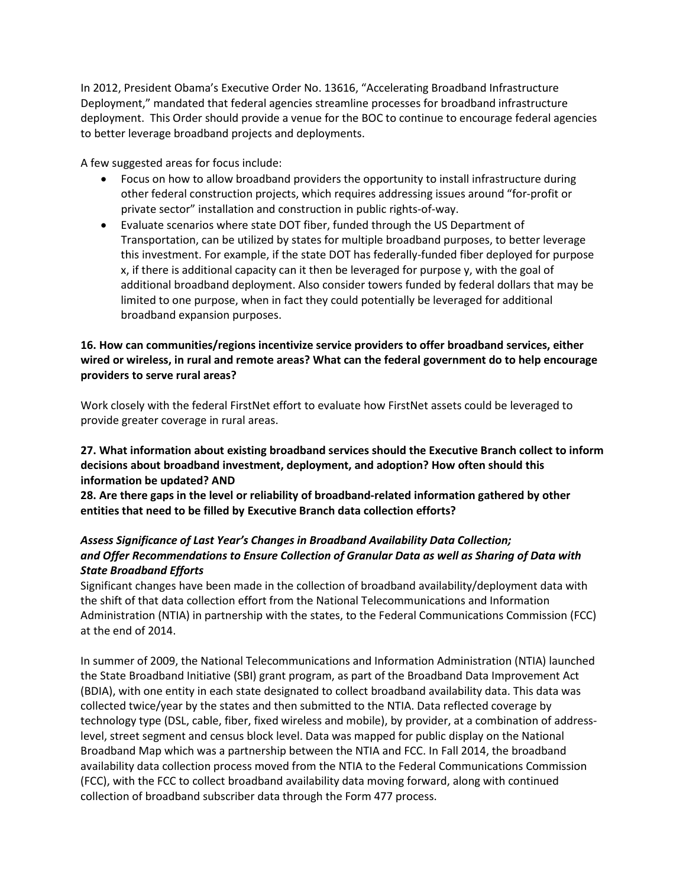In 2012, President Obama's Executive Order No. 13616, "Accelerating Broadband Infrastructure Deployment," mandated that federal agencies streamline processes for broadband infrastructure deployment. This Order should provide a venue for the BOC to continue to encourage federal agencies to better leverage broadband projects and deployments.

A few suggested areas for focus include:

- Focus on how to allow broadband providers the opportunity to install infrastructure during other federal construction projects, which requires addressing issues around "for-profit or private sector" installation and construction in public rights-of-way.
- Evaluate scenarios where state DOT fiber, funded through the US Department of Transportation, can be utilized by states for multiple broadband purposes, to better leverage this investment. For example, if the state DOT has federally-funded fiber deployed for purpose x, if there is additional capacity can it then be leveraged for purpose y, with the goal of additional broadband deployment. Also consider towers funded by federal dollars that may be limited to one purpose, when in fact they could potentially be leveraged for additional broadband expansion purposes.

#### **16. How can communities/regions incentivize service providers to offer broadband services, either wired or wireless, in rural and remote areas? What can the federal government do to help encourage providers to serve rural areas?**

Work closely with the federal FirstNet effort to evaluate how FirstNet assets could be leveraged to provide greater coverage in rural areas.

# **27. What information about existing broadband services should the Executive Branch collect to inform decisions about broadband investment, deployment, and adoption? How often should this information be updated? AND**

**28. Are there gaps in the level or reliability of broadband-related information gathered by other entities that need to be filled by Executive Branch data collection efforts?**

# *Assess Significance of Last Year's Changes in Broadband Availability Data Collection; and Offer Recommendations to Ensure Collection of Granular Data as well as Sharing of Data with State Broadband Efforts*

Significant changes have been made in the collection of broadband availability/deployment data with the shift of that data collection effort from the National Telecommunications and Information Administration (NTIA) in partnership with the states, to the Federal Communications Commission (FCC) at the end of 2014.

In summer of 2009, the National Telecommunications and Information Administration (NTIA) launched the State Broadband Initiative (SBI) grant program, as part of the Broadband Data Improvement Act (BDIA), with one entity in each state designated to collect broadband availability data. This data was collected twice/year by the states and then submitted to the NTIA. Data reflected coverage by technology type (DSL, cable, fiber, fixed wireless and mobile), by provider, at a combination of addresslevel, street segment and census block level. Data was mapped for public display on the National Broadband Map which was a partnership between the NTIA and FCC. In Fall 2014, the broadband availability data collection process moved from the NTIA to the Federal Communications Commission (FCC), with the FCC to collect broadband availability data moving forward, along with continued collection of broadband subscriber data through the Form 477 process.